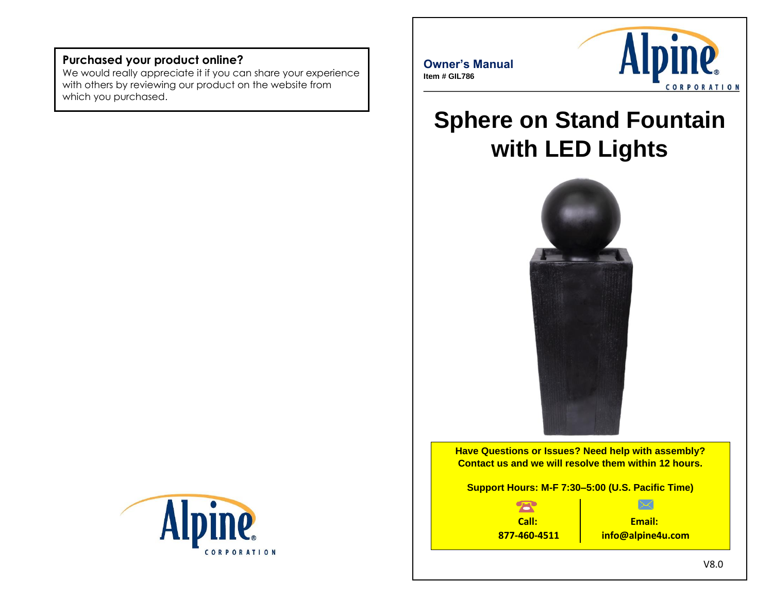### **Purchased your product online?**

We would really appreciate it if you can share your experience with others by reviewing our product on the website from which you purchased.





# **Sphere on Stand Fountain with LED Lights**



**Have Questions or Issues? Need help with assembly? Contact us and we will resolve them within 12 hours.**

**Support Hours: M-F 7:30–5:00 (U.S. Pacific Time)**



**Email: info@alpine4u.com**

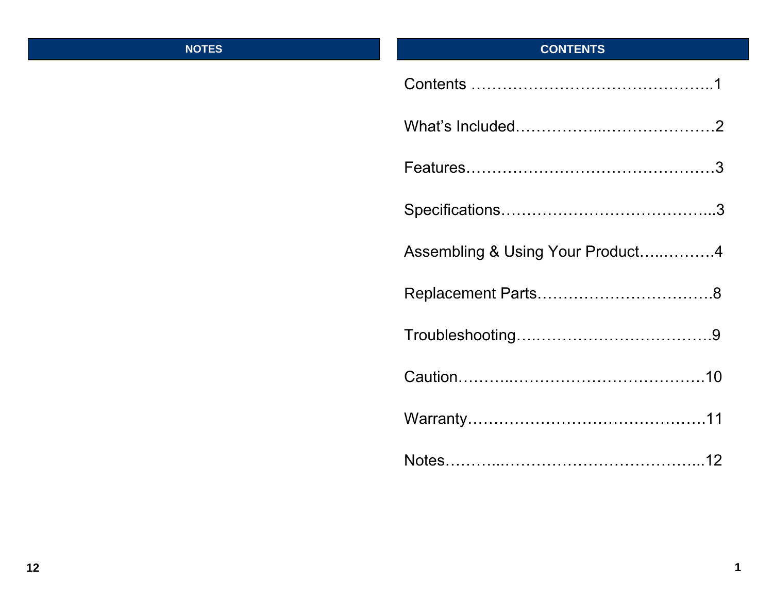### **NOTES**

## **CONTENTS**

| Assembling & Using Your Product4 |
|----------------------------------|
|                                  |
|                                  |
|                                  |
|                                  |
|                                  |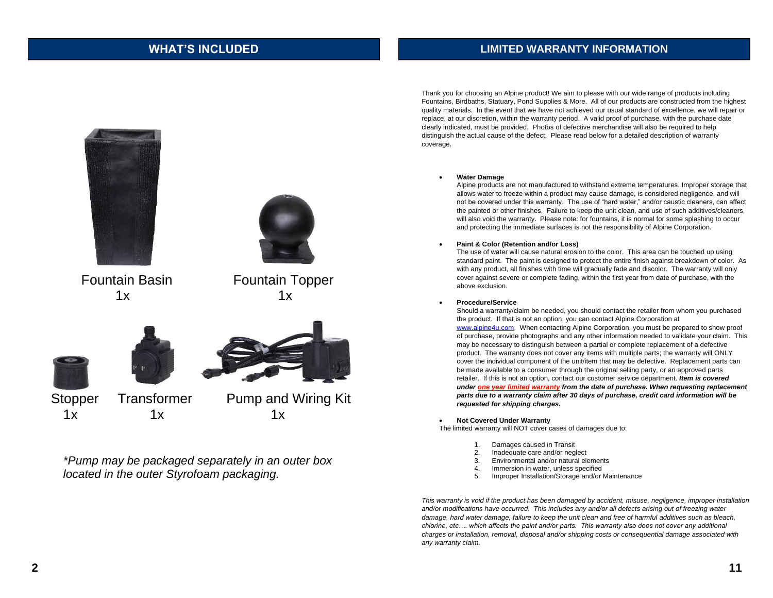### **WHAT'S INCLUDED LIMITED WARRANTY INFORMATION**



*\*Pump may be packaged separately in an outer box located in the outer Styrofoam packaging.*

Thank you for choosing an Alpine product! We aim to please with our wide range of products including Fountains, Birdbaths, Statuary, Pond Supplies & More. All of our products are constructed from the highest quality materials. In the event that we have not achieved our usual standard of excellence, we will repair or replace, at our discretion, within the warranty period. A valid proof of purchase, with the purchase date clearly indicated, must be provided. Photos of defective merchandise will also be required to help distinguish the actual cause of the defect. Please read below for a detailed description of warranty coverage.

#### • **Water Damage**

Alpine products are not manufactured to withstand extreme temperatures. Improper storage that allows water to freeze within a product may cause damage, is considered negligence, and will not be covered under this warranty. The use of "hard water," and/or caustic cleaners, can affect the painted or other finishes. Failure to keep the unit clean, and use of such additives/cleaners, will also void the warranty. Please note: for fountains, it is normal for some splashing to occur and protecting the immediate surfaces is not the responsibility of Alpine Corporation.

#### • **Paint & Color (Retention and/or Loss)**

The use of water will cause natural erosion to the color. This area can be touched up using standard paint. The paint is designed to protect the entire finish against breakdown of color. As with any product, all finishes with time will gradually fade and discolor. The warranty will only cover against severe or complete fading, within the first year from date of purchase, with the above exclusion.

### • **Procedure/Service**

Should a warranty/claim be needed, you should contact the retailer from whom you purchased the product. If that is not an option, you can contact Alpine Corporation at [www.alpine4u.com.](http://www.alpine4u.com/) When contacting Alpine Corporation, you must be prepared to show proof of purchase, provide photographs and any other information needed to validate your claim. This may be necessary to distinguish between a partial or complete replacement of a defective product. The warranty does not cover any items with multiple parts; the warranty will ONLY cover the individual component of the unit/item that may be defective. Replacement parts can be made available to a consumer through the original selling party, or an approved parts retailer. If this is not an option, contact our customer service department. *Item is covered under one year limited warranty from the date of purchase. When requesting replacement parts due to a warranty claim after 30 days of purchase, credit card information will be requested for shipping charges.*

### • **Not Covered Under Warranty**

The limited warranty will NOT cover cases of damages due to:

- 1. Damages caused in Transit
- 2. Inadequate care and/or neglect<br>3. Environmental and/or natural election
- Environmental and/or natural elements
- 4. Immersion in water, unless specified
- 5. Improper Installation/Storage and/or Maintenance

*This warranty is void if the product has been damaged by accident, misuse, negligence, improper installation and/or modifications have occurred. This includes any and/or all defects arising out of freezing water damage, hard water damage, failure to keep the unit clean and free of harmful additives such as bleach, chlorine, etc…. which affects the paint and/or parts. This warranty also does not cover any additional charges or installation, removal, disposal and/or shipping costs or consequential damage associated with any warranty claim.*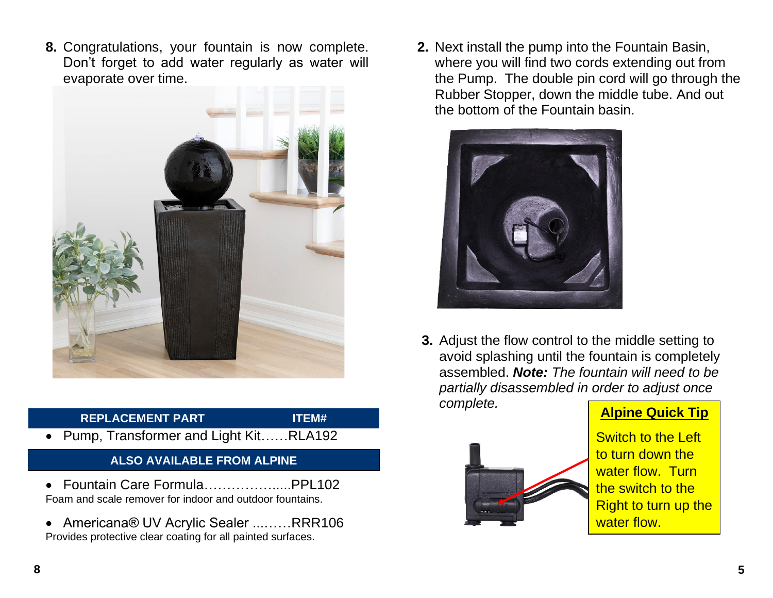**8.** Congratulations, your fountain is now complete. Don't forget to add water regularly as water will evaporate over time.



### **REPLACEMENT PART ITEM#**

- 
- Pump, Transformer and Light Kit……RLA192

## **ALSO AVAILABLE FROM ALPINE**

- Fountain Care Formula…………….....PPL102 Foam and scale remover for indoor and outdoor fountains.
- Americana® UV Acrylic Sealer ...……RRR106 Provides protective clear coating for all painted surfaces.

**2.** Next install the pump into the Fountain Basin, where you will find two cords extending out from the Pump. The double pin cord will go through the Rubber Stopper, down the middle tube. And out the bottom of the Fountain basin.



**3.** Adjust the flow control to the middle setting to avoid splashing until the fountain is completely assembled. *Note: The fountain will need to be partially disassembled in order to adjust once complete.*



**Alpine Quick Tip**

Switch to the Left to turn down the water flow. Turn the switch to the Right to turn up the water flow.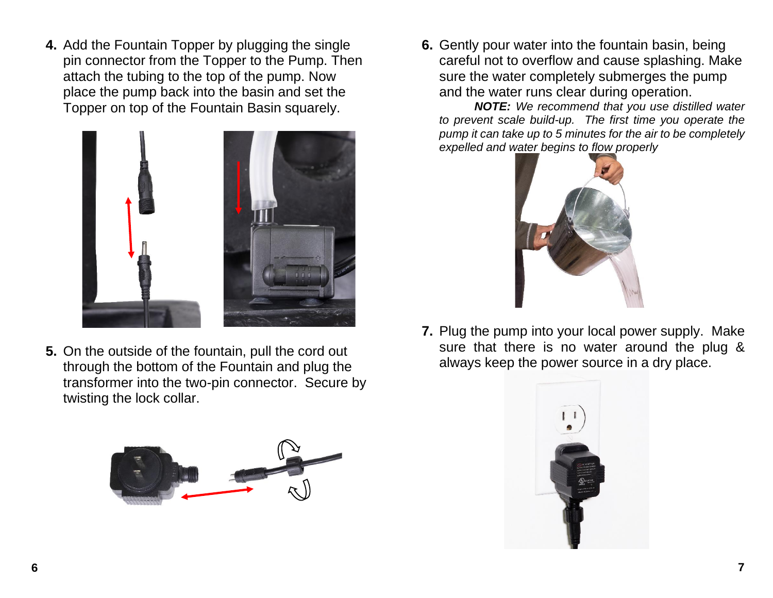**4.** Add the Fountain Topper by plugging the single pin connector from the Topper to the Pump. Then attach the tubing to the top of the pump. Now place the pump back into the basin and set the Topper on top of the Fountain Basin squarely.



**5.** On the outside of the fountain, pull the cord out through the bottom of the Fountain and plug the transformer into the two-pin connector. Secure by twisting the lock collar.



**6.** Gently pour water into the fountain basin, being careful not to overflow and cause splashing. Make sure the water completely submerges the pump and the water runs clear during operation.

*NOTE: We recommend that you use distilled water to prevent scale build-up. The first time you operate the pump it can take up to 5 minutes for the air to be completely expelled and water begins to flow properly*



**7.** Plug the pump into your local power supply. Make sure that there is no water around the plug & always keep the power source in a dry place.

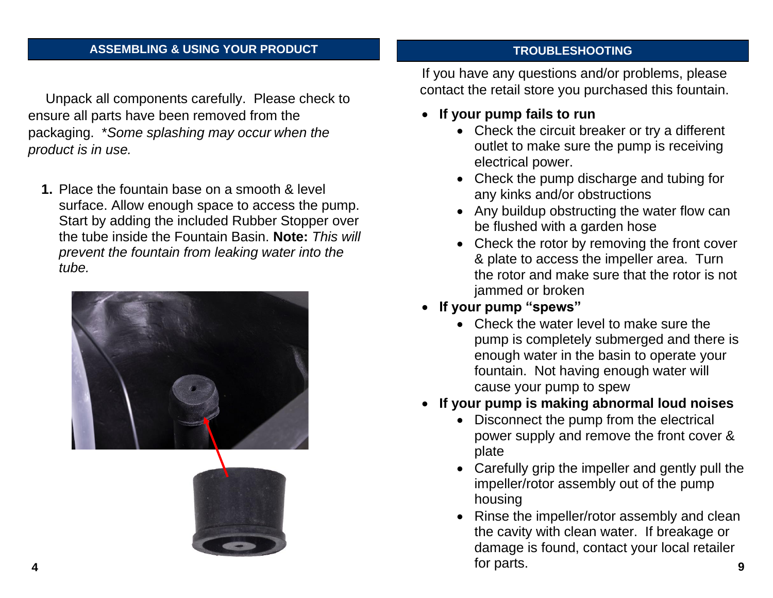### **TROUBLESHOOTING & USING YOUR PRODUCT ASSEMBLING & USING YOUR PRODUCT**

Unpack all components carefully. Please check to ensure all parts have been removed from the packaging. \**Some splashing may occur when the product is in use.* 

**1.** Place the fountain base on a smooth & level surface. Allow enough space to access the pump. Start by adding the included Rubber Stopper over the tube inside the Fountain Basin. **Note:** *This will prevent the fountain from leaking water into the tube.*



If you have any questions and/or problems, please contact the retail store you purchased this fountain.

- **If your pump fails to run**
	- Check the circuit breaker or try a different outlet to make sure the pump is receiving electrical power.
	- Check the pump discharge and tubing for any kinks and/or obstructions
	- Any buildup obstructing the water flow can be flushed with a garden hose
	- Check the rotor by removing the front cover & plate to access the impeller area. Turn the rotor and make sure that the rotor is not jammed or broken
- **If your pump "spews"** 
	- Check the water level to make sure the pump is completely submerged and there is enough water in the basin to operate your fountain. Not having enough water will cause your pump to spew
- **If your pump is making abnormal loud noises**
	- Disconnect the pump from the electrical power supply and remove the front cover & plate
	- Carefully grip the impeller and gently pull the impeller/rotor assembly out of the pump housing
	- Rinse the impeller/rotor assembly and clean the cavity with clean water. If breakage or damage is found, contact your local retailer for parts.